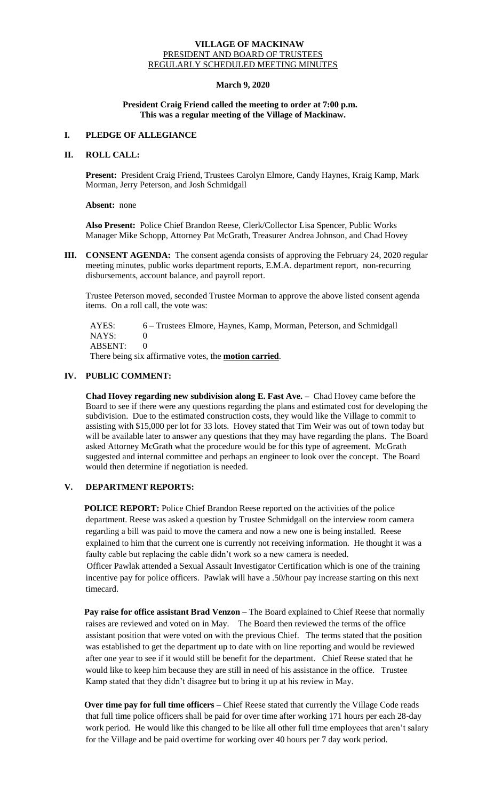## **VILLAGE OF MACKINAW** PRESIDENT AND BOARD OF TRUSTEES REGULARLY SCHEDULED MEETING MINUTES

## **March 9, 2020**

## **President Craig Friend called the meeting to order at 7:00 p.m. This was a regular meeting of the Village of Mackinaw.**

# **I. PLEDGE OF ALLEGIANCE**

## **II. ROLL CALL:**

**Present:** President Craig Friend, Trustees Carolyn Elmore, Candy Haynes, Kraig Kamp, Mark Morman, Jerry Peterson, and Josh Schmidgall

**Absent:** none

**Also Present:** Police Chief Brandon Reese, Clerk/Collector Lisa Spencer, Public Works Manager Mike Schopp, Attorney Pat McGrath, Treasurer Andrea Johnson, and Chad Hovey

**III. CONSENT AGENDA:** The consent agenda consists of approving the February 24, 2020 regular meeting minutes, public works department reports, E.M.A. department report, non-recurring disbursements, account balance, and payroll report.

Trustee Peterson moved, seconded Trustee Morman to approve the above listed consent agenda items. On a roll call, the vote was:

 AYES: 6 – Trustees Elmore, Haynes, Kamp, Morman, Peterson, and Schmidgall  $NAYS: 0$ ABSENT: 0

There being six affirmative votes, the **motion carried**.

## **IV. PUBLIC COMMENT:**

**Chad Hovey regarding new subdivision along E. Fast Ave. –** Chad Hovey came before the Board to see if there were any questions regarding the plans and estimated cost for developing the subdivision. Due to the estimated construction costs, they would like the Village to commit to assisting with \$15,000 per lot for 33 lots. Hovey stated that Tim Weir was out of town today but will be available later to answer any questions that they may have regarding the plans. The Board asked Attorney McGrath what the procedure would be for this type of agreement. McGrath suggested and internal committee and perhaps an engineer to look over the concept. The Board would then determine if negotiation is needed.

# **V. DEPARTMENT REPORTS:**

**POLICE REPORT:** Police Chief Brandon Reese reported on the activities of the police department. Reese was asked a question by Trustee Schmidgall on the interview room camera regarding a bill was paid to move the camera and now a new one is being installed. Reese explained to him that the current one is currently not receiving information. He thought it was a faulty cable but replacing the cable didn't work so a new camera is needed.

Officer Pawlak attended a Sexual Assault Investigator Certification which is one of the training incentive pay for police officers. Pawlak will have a .50/hour pay increase starting on this next timecard.

**Pay raise for office assistant Brad Venzon –** The Board explained to Chief Reese that normally raises are reviewed and voted on in May. The Board then reviewed the terms of the office assistant position that were voted on with the previous Chief. The terms stated that the position was established to get the department up to date with on line reporting and would be reviewed after one year to see if it would still be benefit for the department. Chief Reese stated that he would like to keep him because they are still in need of his assistance in the office. Trustee Kamp stated that they didn't disagree but to bring it up at his review in May.

**Over time pay for full time officers –** Chief Reese stated that currently the Village Code reads that full time police officers shall be paid for over time after working 171 hours per each 28-day work period. He would like this changed to be like all other full time employees that aren't salary for the Village and be paid overtime for working over 40 hours per 7 day work period.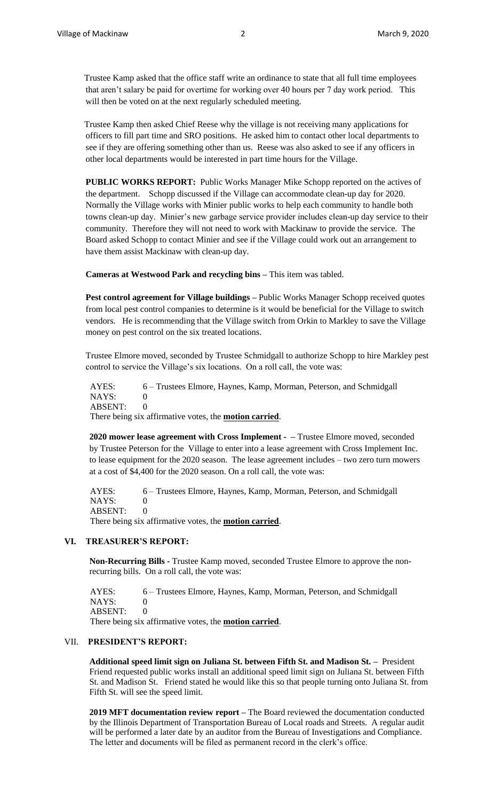Trustee Kamp asked that the office staff write an ordinance to state that all full time employees that aren't salary be paid for overtime for working over 40 hours per 7 day work period. This will then be voted on at the next regularly scheduled meeting.

Trustee Kamp then asked Chief Reese why the village is not receiving many applications for officers to fill part time and SRO positions. He asked him to contact other local departments to see if they are offering something other than us. Reese was also asked to see if any officers in other local departments would be interested in part time hours for the Village.

**PUBLIC WORKS REPORT:** Public Works Manager Mike Schopp reported on the actives of the department. Schopp discussed if the Village can accommodate clean-up day for 2020. Normally the Village works with Minier public works to help each community to handle both towns clean-up day. Minier's new garbage service provider includes clean-up day service to their community. Therefore they will not need to work with Mackinaw to provide the service. The Board asked Schopp to contact Minier and see if the Village could work out an arrangement to have them assist Mackinaw with clean-up day.

**Cameras at Westwood Park and recycling bins –** This item was tabled.

**Pest control agreement for Village buildings –** Public Works Manager Schopp received quotes from local pest control companies to determine is it would be beneficial for the Village to switch vendors. He is recommending that the Village switch from Orkin to Markley to save the Village money on pest control on the six treated locations.

Trustee Elmore moved, seconded by Trustee Schmidgall to authorize Schopp to hire Markley pest control to service the Village's six locations. On a roll call, the vote was:

 AYES: 6 – Trustees Elmore, Haynes, Kamp, Morman, Peterson, and Schmidgall  $NAYS: 0$ ABSENT: 0 There being six affirmative votes, the **motion carried**.

**2020 mower lease agreement with Cross Implement - –** Trustee Elmore moved, seconded by Trustee Peterson for the Village to enter into a lease agreement with Cross Implement Inc. to lease equipment for the 2020 season. The lease agreement includes – two zero turn mowers at a cost of \$4,400 for the 2020 season. On a roll call, the vote was:

AYES: 6 – Trustees Elmore, Haynes, Kamp, Morman, Peterson, and Schmidgall NAYS: 0 ABSENT: 0 There being six affirmative votes, the **motion carried**.

#### **VI. TREASURER'S REPORT:**

**Non-Recurring Bills -** Trustee Kamp moved, seconded Trustee Elmore to approve the nonrecurring bills. On a roll call, the vote was:

 AYES: 6 – Trustees Elmore, Haynes, Kamp, Morman, Peterson, and Schmidgall NAYS: 0 ABSENT: 0 There being six affirmative votes, the **motion carried**.

#### VII. **PRESIDENT'S REPORT:**

**Additional speed limit sign on Juliana St. between Fifth St. and Madison St. –** President Friend requested public works install an additional speed limit sign on Juliana St. between Fifth St. and Madison St. Friend stated he would like this so that people turning onto Juliana St. from Fifth St. will see the speed limit.

**2019 MFT documentation review report –** The Board reviewed the documentation conducted by the Illinois Department of Transportation Bureau of Local roads and Streets. A regular audit will be performed a later date by an auditor from the Bureau of Investigations and Compliance. The letter and documents will be filed as permanent record in the clerk's office.